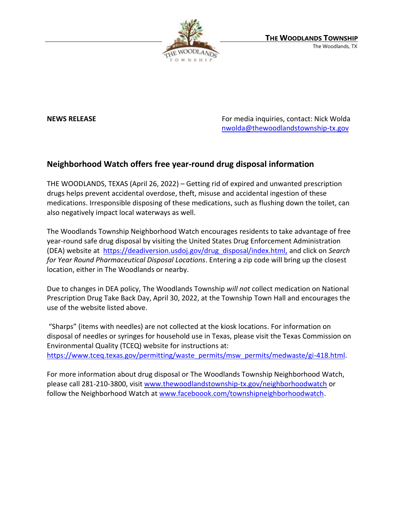

**NEWS RELEASE EXECUTE:** NEWS **RELEASE For media inquiries, contact: Nick Wolda** [nwolda@thewoodlandstownship-tx.gov](mailto:nwolda@thewoodlandstownship-tx.gov)

## **Neighborhood Watch offers free year-round drug disposal information**

THE WOODLANDS, TEXAS (April 26, 2022) – Getting rid of expired and unwanted prescription drugs helps prevent accidental overdose, theft, misuse and accidental ingestion of these medications. Irresponsible disposing of these medications, such as flushing down the toilet, can also negatively impact local waterways as well.

The Woodlands Township Neighborhood Watch encourages residents to take advantage of free year-round safe drug disposal by visiting the United States Drug Enforcement Administration (DEA) website at [https://deadiversion.usdoj.gov/drug\\_disposal/index.html,](https://deadiversion.usdoj.gov/drug_disposal/index.html) and click on *Search for Year Round Pharmaceutical Disposal Locations*. Entering a zip code will bring up the closest location, either in The Woodlands or nearby.

Due to changes in DEA policy, The Woodlands Township *will not* collect medication on National Prescription Drug Take Back Day, April 30, 2022, at the Township Town Hall and encourages the use of the website listed above.

"Sharps" (items with needles) are not collected at the kiosk locations. For information on disposal of needles or syringes for household use in Texas, please visit the Texas Commission on Environmental Quality (TCEQ) website for instructions at: [https://www.tceq.texas.gov/permitting/waste\\_permits/msw\\_permits/medwaste/gi-418.html.](https://www.tceq.texas.gov/permitting/waste_permits/msw_permits/medwaste/gi-418.html)

For more information about drug disposal or The Woodlands Township Neighborhood Watch, please call 281-210-3800, visit [www.thewoodlandstownship-tx.gov/neighborhoodwatch](http://www.thewoodlandstownship-tx.gov/neighborhoodwatch) or follow the Neighborhood Watch at [www.faceboook.com/townshipneighborhoodwatch.](http://www.faceboook.com/townshipneighborhoodwatch)